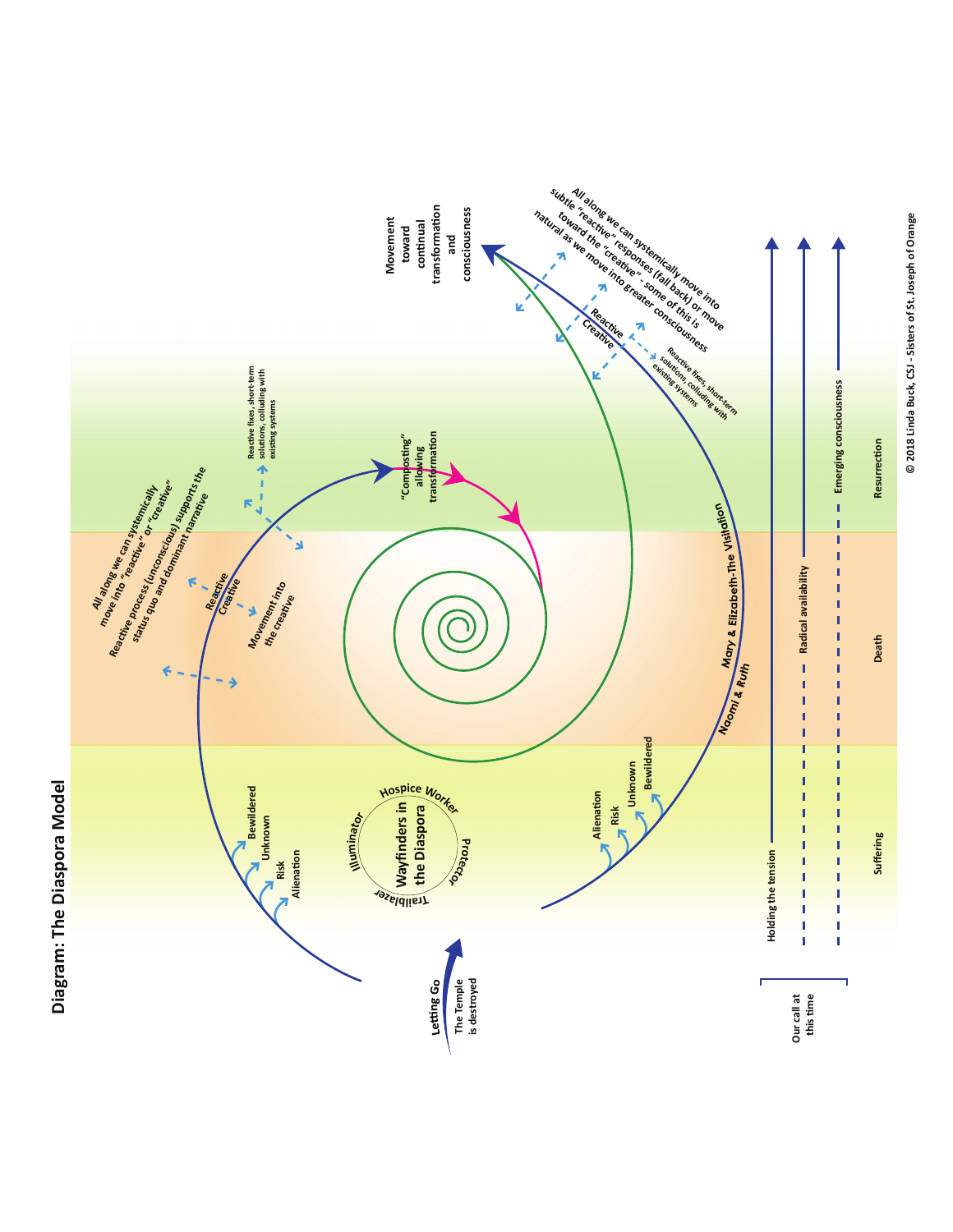